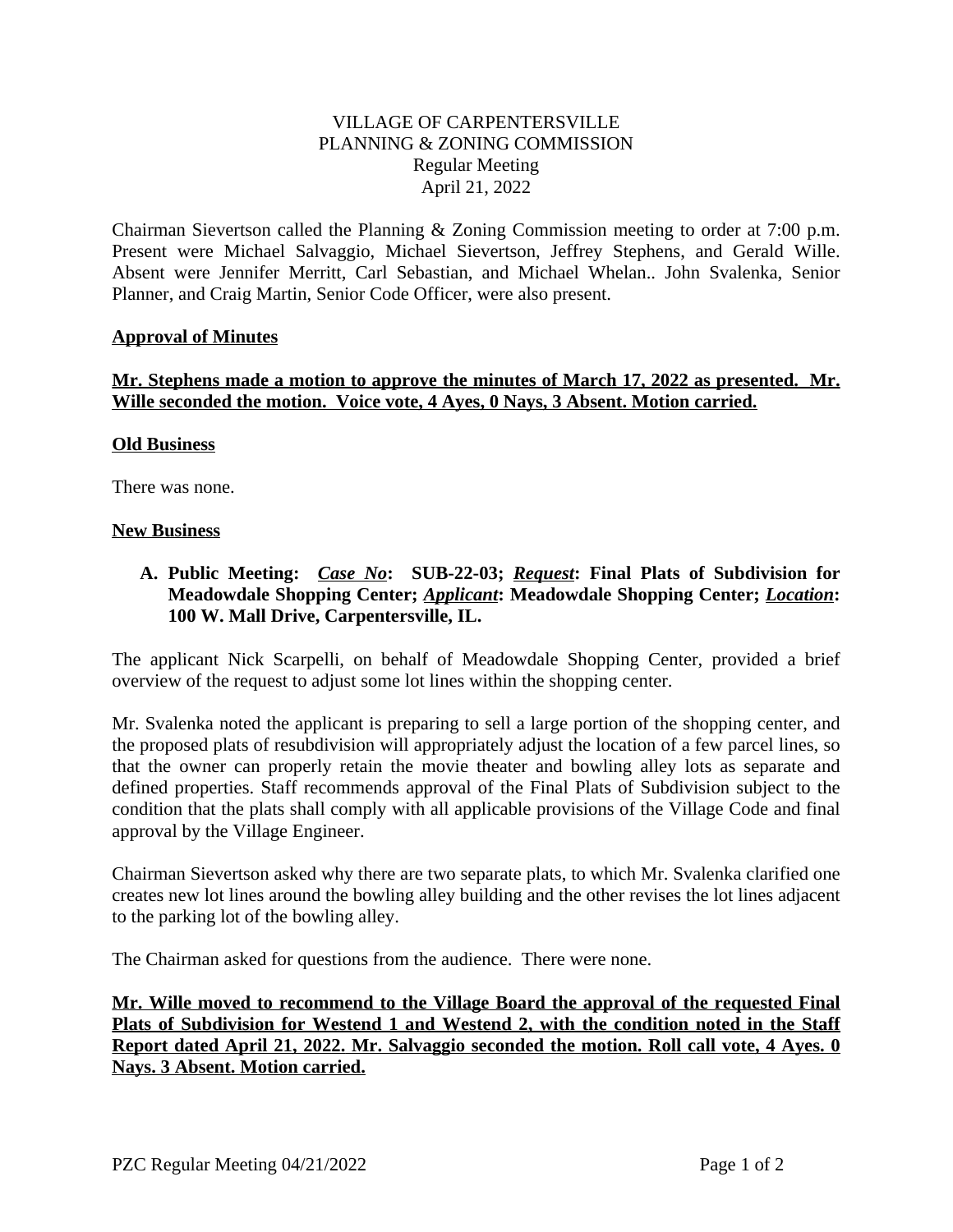## VILLAGE OF CARPENTERSVILLE PLANNING & ZONING COMMISSION Regular Meeting April 21, 2022

Chairman Sievertson called the Planning & Zoning Commission meeting to order at 7:00 p.m. Present were Michael Salvaggio, Michael Sievertson, Jeffrey Stephens, and Gerald Wille. Absent were Jennifer Merritt, Carl Sebastian, and Michael Whelan.. John Svalenka, Senior Planner, and Craig Martin, Senior Code Officer, were also present.

### **Approval of Minutes**

## **Mr. Stephens made a motion to approve the minutes of March 17, 2022 as presented. Mr. Wille seconded the motion. Voice vote, 4 Ayes, 0 Nays, 3 Absent. Motion carried.**

### **Old Business**

There was none.

#### **New Business**

## **A. Public Meeting:** *Case No***: SUB-22-03;** *Request***: Final Plats of Subdivision for Meadowdale Shopping Center;** *Applicant***: Meadowdale Shopping Center;** *Location***: 100 W. Mall Drive, Carpentersville, IL.**

The applicant Nick Scarpelli, on behalf of Meadowdale Shopping Center, provided a brief overview of the request to adjust some lot lines within the shopping center.

Mr. Svalenka noted the applicant is preparing to sell a large portion of the shopping center, and the proposed plats of resubdivision will appropriately adjust the location of a few parcel lines, so that the owner can properly retain the movie theater and bowling alley lots as separate and defined properties. Staff recommends approval of the Final Plats of Subdivision subject to the condition that the plats shall comply with all applicable provisions of the Village Code and final approval by the Village Engineer.

Chairman Sievertson asked why there are two separate plats, to which Mr. Svalenka clarified one creates new lot lines around the bowling alley building and the other revises the lot lines adjacent to the parking lot of the bowling alley.

The Chairman asked for questions from the audience. There were none.

**Mr. Wille moved to recommend to the Village Board the approval of the requested Final Plats of Subdivision for Westend 1 and Westend 2, with the condition noted in the Staff Report dated April 21, 2022. Mr. Salvaggio seconded the motion. Roll call vote, 4 Ayes. 0 Nays. 3 Absent. Motion carried.**